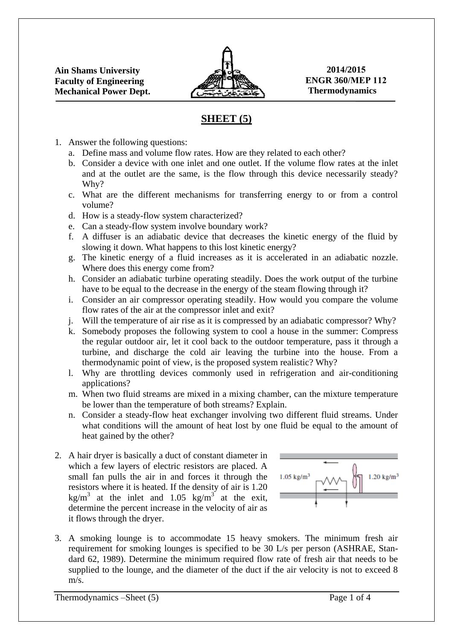

**2014/2015 ENGR 360/MEP 112 Thermodynamics** 

## **SHEET (5)**

- 1. Answer the following questions:
	- a. Define mass and volume flow rates. How are they related to each other?
	- b. Consider a device with one inlet and one outlet. If the volume flow rates at the inlet and at the outlet are the same, is the flow through this device necessarily steady? Why?
	- c. What are the different mechanisms for transferring energy to or from a control volume?
	- d. How is a steady-flow system characterized?
	- e. Can a steady-flow system involve boundary work?
	- f. A diffuser is an adiabatic device that decreases the kinetic energy of the fluid by slowing it down. What happens to this lost kinetic energy?
	- g. The kinetic energy of a fluid increases as it is accelerated in an adiabatic nozzle. Where does this energy come from?
	- h. Consider an adiabatic turbine operating steadily. Does the work output of the turbine have to be equal to the decrease in the energy of the steam flowing through it?
	- i. Consider an air compressor operating steadily. How would you compare the volume flow rates of the air at the compressor inlet and exit?
	- j. Will the temperature of air rise as it is compressed by an adiabatic compressor? Why?
	- k. Somebody proposes the following system to cool a house in the summer: Compress the regular outdoor air, let it cool back to the outdoor temperature, pass it through a turbine, and discharge the cold air leaving the turbine into the house. From a thermodynamic point of view, is the proposed system realistic? Why?
	- l. Why are throttling devices commonly used in refrigeration and air-conditioning applications?
	- m. When two fluid streams are mixed in a mixing chamber, can the mixture temperature be lower than the temperature of both streams? Explain.
	- n. Consider a steady-flow heat exchanger involving two different fluid streams. Under what conditions will the amount of heat lost by one fluid be equal to the amount of heat gained by the other?
- 2. A hair dryer is basically a duct of constant diameter in which a few layers of electric resistors are placed. A small fan pulls the air in and forces it through the resistors where it is heated. If the density of air is 1.20 kg/m<sup>3</sup> at the inlet and 1.05 kg/m<sup>3</sup> at the exit, determine the percent increase in the velocity of air as it flows through the dryer.



3. A smoking lounge is to accommodate 15 heavy smokers. The minimum fresh air requirement for smoking lounges is specified to be 30 L/s per person (ASHRAE, Standard 62, 1989). Determine the minimum required flow rate of fresh air that needs to be supplied to the lounge, and the diameter of the duct if the air velocity is not to exceed 8 m/s.

Thermodynamics –Sheet (5) Page 1 of 4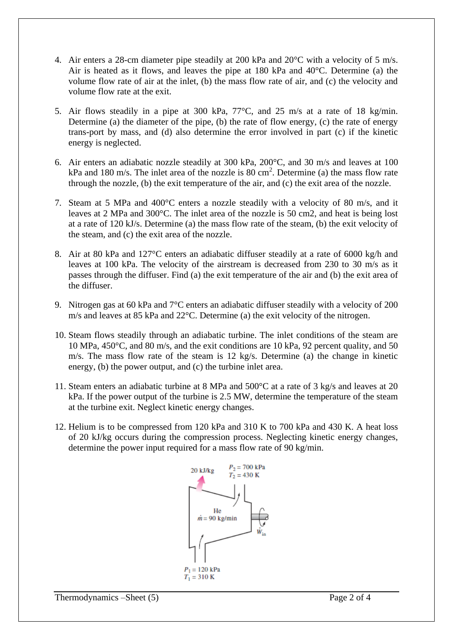- 4. Air enters a 28-cm diameter pipe steadily at 200 kPa and 20°C with a velocity of 5 m/s. Air is heated as it flows, and leaves the pipe at 180 kPa and 40°C. Determine (a) the volume flow rate of air at the inlet, (b) the mass flow rate of air, and (c) the velocity and volume flow rate at the exit.
- 5. Air flows steadily in a pipe at 300 kPa, 77°C, and 25 m/s at a rate of 18 kg/min. Determine (a) the diameter of the pipe, (b) the rate of flow energy, (c) the rate of energy trans-port by mass, and (d) also determine the error involved in part (c) if the kinetic energy is neglected.
- 6. Air enters an adiabatic nozzle steadily at 300 kPa, 200°C, and 30 m/s and leaves at 100 kPa and 180 m/s. The inlet area of the nozzle is 80 cm<sup>2</sup>. Determine (a) the mass flow rate through the nozzle, (b) the exit temperature of the air, and (c) the exit area of the nozzle.
- 7. Steam at 5 MPa and 400°C enters a nozzle steadily with a velocity of 80 m/s, and it leaves at 2 MPa and 300°C. The inlet area of the nozzle is 50 cm2, and heat is being lost at a rate of 120 kJ/s. Determine (a) the mass flow rate of the steam, (b) the exit velocity of the steam, and (c) the exit area of the nozzle.
- 8. Air at 80 kPa and 127°C enters an adiabatic diffuser steadily at a rate of 6000 kg/h and leaves at 100 kPa. The velocity of the airstream is decreased from 230 to 30 m/s as it passes through the diffuser. Find (a) the exit temperature of the air and (b) the exit area of the diffuser.
- 9. Nitrogen gas at 60 kPa and 7°C enters an adiabatic diffuser steadily with a velocity of 200 m/s and leaves at 85 kPa and 22°C. Determine (a) the exit velocity of the nitrogen.
- 10. Steam flows steadily through an adiabatic turbine. The inlet conditions of the steam are 10 MPa, 450°C, and 80 m/s, and the exit conditions are 10 kPa, 92 percent quality, and 50 m/s. The mass flow rate of the steam is 12 kg/s. Determine (a) the change in kinetic energy, (b) the power output, and (c) the turbine inlet area.
- 11. Steam enters an adiabatic turbine at 8 MPa and 500°C at a rate of 3 kg/s and leaves at 20 kPa. If the power output of the turbine is 2.5 MW, determine the temperature of the steam at the turbine exit. Neglect kinetic energy changes.
- 12. Helium is to be compressed from 120 kPa and 310 K to 700 kPa and 430 K. A heat loss of 20 kJ/kg occurs during the compression process. Neglecting kinetic energy changes, determine the power input required for a mass flow rate of 90 kg/min.

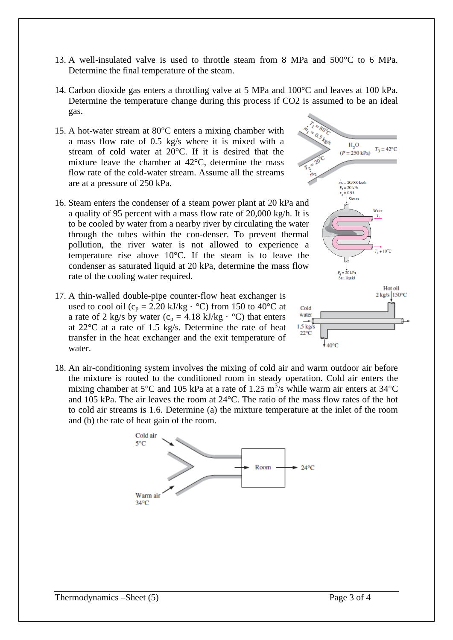- 13. A well-insulated valve is used to throttle steam from 8 MPa and 500°C to 6 MPa. Determine the final temperature of the steam.
- 14. Carbon dioxide gas enters a throttling valve at 5 MPa and 100°C and leaves at 100 kPa. Determine the temperature change during this process if CO2 is assumed to be an ideal gas.
- 15. A hot-water stream at 80°C enters a mixing chamber with a mass flow rate of 0.5 kg/s where it is mixed with a stream of cold water at 20°C. If it is desired that the mixture leave the chamber at 42°C, determine the mass flow rate of the cold-water stream. Assume all the streams are at a pressure of 250 kPa.
- 16. Steam enters the condenser of a steam power plant at 20 kPa and a quality of 95 percent with a mass flow rate of 20,000 kg/h. It is to be cooled by water from a nearby river by circulating the water through the tubes within the con-denser. To prevent thermal pollution, the river water is not allowed to experience a temperature rise above 10°C. If the steam is to leave the condenser as saturated liquid at 20 kPa, determine the mass flow rate of the cooling water required.
- 17. A thin-walled double-pipe counter-flow heat exchanger is used to cool oil ( $c_p = 2.20$  kJ/kg  $\cdot$  °C) from 150 to 40°C at a rate of 2 kg/s by water ( $c_p = 4.18$  kJ/kg  $\cdot$  °C) that enters at 22°C at a rate of 1.5 kg/s. Determine the rate of heat transfer in the heat exchanger and the exit temperature of water.